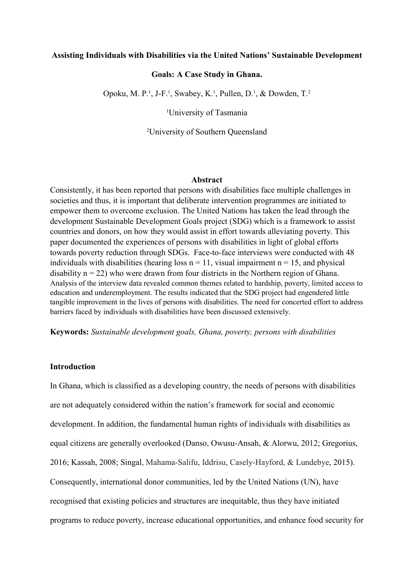## Assisting Individuals with Disabilities via the United Nations' Sustainable Development

#### Goals: A Case Study in Ghana.

Opoku, M. P.<sup>1</sup>, J-F.<sup>1</sup>, Swabey, K.<sup>1</sup>, Pullen, D.<sup>1</sup>, & Dowden, T.<sup>2</sup>

<sup>1</sup>University of Tasmania

<sup>2</sup>University of Southern Queensland

#### Abstract

Consistently, it has been reported that persons with disabilities face multiple challenges in societies and thus, it is important that deliberate intervention programmes are initiated to empower them to overcome exclusion. The United Nations has taken the lead through the development Sustainable Development Goals project (SDG) which is a framework to assist countries and donors, on how they would assist in effort towards alleviating poverty. This paper documented the experiences of persons with disabilities in light of global efforts towards poverty reduction through SDGs. Face-to-face interviews were conducted with 48 individuals with disabilities (hearing loss  $n = 11$ , visual impairment  $n = 15$ , and physical disability  $n = 22$ ) who were drawn from four districts in the Northern region of Ghana. Analysis of the interview data revealed common themes related to hardship, poverty, limited access to education and underemployment. The results indicated that the SDG project had engendered little tangible improvement in the lives of persons with disabilities. The need for concerted effort to address barriers faced by individuals with disabilities have been discussed extensively.

Keywords: Sustainable development goals, Ghana, poverty, persons with disabilities

#### Introduction

In Ghana, which is classified as a developing country, the needs of persons with disabilities are not adequately considered within the nation's framework for social and economic development. In addition, the fundamental human rights of individuals with disabilities as equal citizens are generally overlooked (Danso, Owusu-Ansah, & Alorwu, 2012; Gregorius, 2016; Kassah, 2008; Singal, Mahama-Salifu, Iddrisu, Casely-Hayford, & Lundebye, 2015). Consequently, international donor communities, led by the United Nations (UN), have recognised that existing policies and structures are inequitable, thus they have initiated programs to reduce poverty, increase educational opportunities, and enhance food security for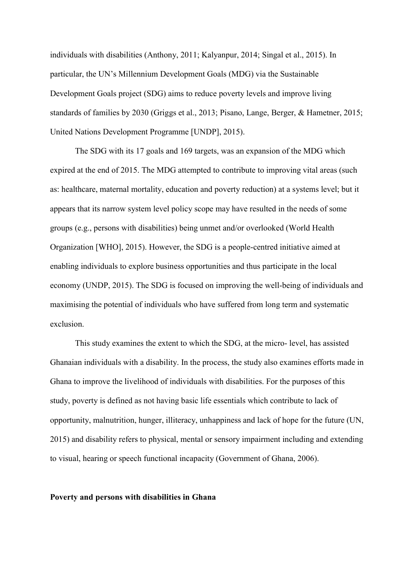individuals with disabilities (Anthony, 2011; Kalyanpur, 2014; Singal et al., 2015). In particular, the UN's Millennium Development Goals (MDG) via the Sustainable Development Goals project (SDG) aims to reduce poverty levels and improve living standards of families by 2030 (Griggs et al., 2013; Pisano, Lange, Berger, & Hametner, 2015; United Nations Development Programme [UNDP], 2015).

The SDG with its 17 goals and 169 targets, was an expansion of the MDG which expired at the end of 2015. The MDG attempted to contribute to improving vital areas (such as: healthcare, maternal mortality, education and poverty reduction) at a systems level; but it appears that its narrow system level policy scope may have resulted in the needs of some groups (e.g., persons with disabilities) being unmet and/or overlooked (World Health Organization [WHO], 2015). However, the SDG is a people-centred initiative aimed at enabling individuals to explore business opportunities and thus participate in the local economy (UNDP, 2015). The SDG is focused on improving the well-being of individuals and maximising the potential of individuals who have suffered from long term and systematic exclusion.

This study examines the extent to which the SDG, at the micro- level, has assisted Ghanaian individuals with a disability. In the process, the study also examines efforts made in Ghana to improve the livelihood of individuals with disabilities. For the purposes of this study, poverty is defined as not having basic life essentials which contribute to lack of opportunity, malnutrition, hunger, illiteracy, unhappiness and lack of hope for the future (UN, 2015) and disability refers to physical, mental or sensory impairment including and extending to visual, hearing or speech functional incapacity (Government of Ghana, 2006).

## Poverty and persons with disabilities in Ghana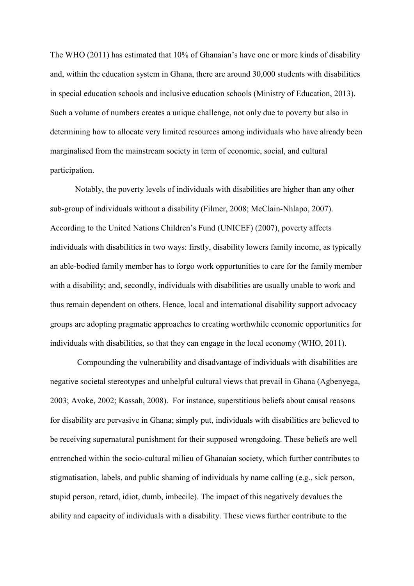The WHO (2011) has estimated that 10% of Ghanaian's have one or more kinds of disability and, within the education system in Ghana, there are around 30,000 students with disabilities in special education schools and inclusive education schools (Ministry of Education, 2013). Such a volume of numbers creates a unique challenge, not only due to poverty but also in determining how to allocate very limited resources among individuals who have already been marginalised from the mainstream society in term of economic, social, and cultural participation.

Notably, the poverty levels of individuals with disabilities are higher than any other sub-group of individuals without a disability (Filmer, 2008; McClain-Nhlapo, 2007). According to the United Nations Children's Fund (UNICEF) (2007), poverty affects individuals with disabilities in two ways: firstly, disability lowers family income, as typically an able-bodied family member has to forgo work opportunities to care for the family member with a disability; and, secondly, individuals with disabilities are usually unable to work and thus remain dependent on others. Hence, local and international disability support advocacy groups are adopting pragmatic approaches to creating worthwhile economic opportunities for individuals with disabilities, so that they can engage in the local economy (WHO, 2011).

 Compounding the vulnerability and disadvantage of individuals with disabilities are negative societal stereotypes and unhelpful cultural views that prevail in Ghana (Agbenyega, 2003; Avoke, 2002; Kassah, 2008). For instance, superstitious beliefs about causal reasons for disability are pervasive in Ghana; simply put, individuals with disabilities are believed to be receiving supernatural punishment for their supposed wrongdoing. These beliefs are well entrenched within the socio-cultural milieu of Ghanaian society, which further contributes to stigmatisation, labels, and public shaming of individuals by name calling (e.g., sick person, stupid person, retard, idiot, dumb, imbecile). The impact of this negatively devalues the ability and capacity of individuals with a disability. These views further contribute to the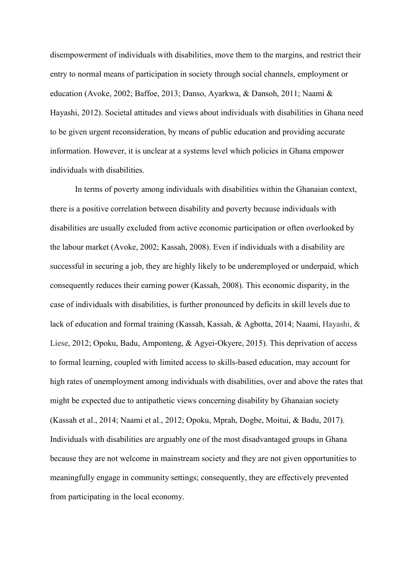disempowerment of individuals with disabilities, move them to the margins, and restrict their entry to normal means of participation in society through social channels, employment or education (Avoke, 2002; Baffoe, 2013; Danso, Ayarkwa, & Dansoh, 2011; Naami & Hayashi, 2012). Societal attitudes and views about individuals with disabilities in Ghana need to be given urgent reconsideration, by means of public education and providing accurate information. However, it is unclear at a systems level which policies in Ghana empower individuals with disabilities.

In terms of poverty among individuals with disabilities within the Ghanaian context, there is a positive correlation between disability and poverty because individuals with disabilities are usually excluded from active economic participation or often overlooked by the labour market (Avoke, 2002; Kassah, 2008). Even if individuals with a disability are successful in securing a job, they are highly likely to be underemployed or underpaid, which consequently reduces their earning power (Kassah, 2008). This economic disparity, in the case of individuals with disabilities, is further pronounced by deficits in skill levels due to lack of education and formal training (Kassah, Kassah, & Agbotta, 2014; Naami, Hayashi, & Liese, 2012; Opoku, Badu, Amponteng, & Agyei-Okyere, 2015). This deprivation of access to formal learning, coupled with limited access to skills-based education, may account for high rates of unemployment among individuals with disabilities, over and above the rates that might be expected due to antipathetic views concerning disability by Ghanaian society (Kassah et al., 2014; Naami et al., 2012; Opoku, Mprah, Dogbe, Moitui, & Badu, 2017). Individuals with disabilities are arguably one of the most disadvantaged groups in Ghana because they are not welcome in mainstream society and they are not given opportunities to meaningfully engage in community settings; consequently, they are effectively prevented from participating in the local economy.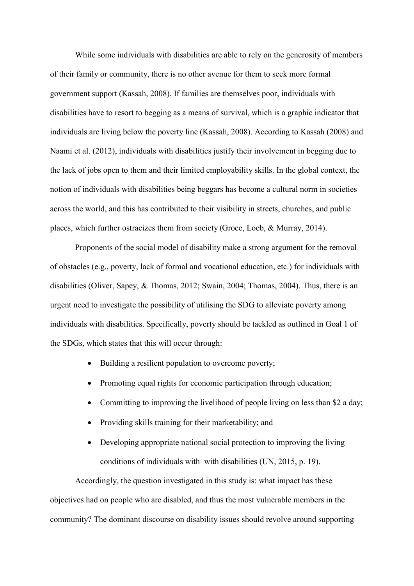While some individuals with disabilities are able to rely on the generosity of members of their family or community, there is no other avenue for them to seek more formal government support (Kassah, 2008). If families are themselves poor, individuals with disabilities have to resort to begging as a means of survival, which is a graphic indicator that individuals are living below the poverty line (Kassah, 2008). According to Kassah (2008) and Naami et al. (2012), individuals with disabilities justify their involvement in begging due to the lack of jobs open to them and their limited employability skills. In the global context, the notion of individuals with disabilities being beggars has become a cultural norm in societies across the world, and this has contributed to their visibility in streets, churches, and public places, which further ostracizes them from society (Groce, Loeb, & Murray, 2014).

Proponents of the social model of disability make a strong argument for the removal of obstacles (e.g., poverty, lack of formal and vocational education, etc.) for individuals with disabilities (Oliver, Sapey, & Thomas, 2012; Swain, 2004; Thomas, 2004). Thus, there is an urgent need to investigate the possibility of utilising the SDG to alleviate poverty among individuals with disabilities. Specifically, poverty should be tackled as outlined in Goal 1 of the SDGs, which states that this will occur through:

- Building a resilient population to overcome poverty;
- Promoting equal rights for economic participation through education;
- Committing to improving the livelihood of people living on less than \$2 a day;
- Providing skills training for their marketability; and
- Developing appropriate national social protection to improving the living conditions of individuals with with disabilities (UN, 2015, p. 19).

Accordingly, the question investigated in this study is: what impact has these objectives had on people who are disabled, and thus the most vulnerable members in the community? The dominant discourse on disability issues should revolve around supporting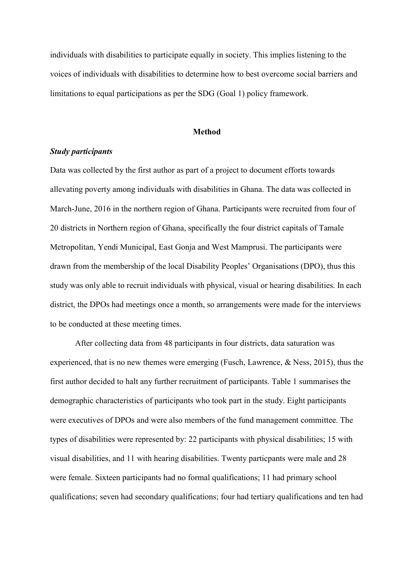individuals with disabilities to participate equally in society. This implies listening to the voices of individuals with disabilities to determine how to best overcome social barriers and limitations to equal participations as per the SDG (Goal 1) policy framework.

#### Method

## Study participants

Data was collected by the first author as part of a project to document efforts towards allevating poverty among individuals with disabilities in Ghana. The data was collected in March-June, 2016 in the northern region of Ghana. Participants were recruited from four of 20 districts in Northern region of Ghana, specifically the four district capitals of Tamale Metropolitan, Yendi Municipal, East Gonja and West Mamprusi. The participants were drawn from the membership of the local Disability Peoples' Organisations (DPO), thus this study was only able to recruit individuals with physical, visual or hearing disabilities. In each district, the DPOs had meetings once a month, so arrangements were made for the interviews to be conducted at these meeting times.

 After collecting data from 48 participants in four districts, data saturation was experienced, that is no new themes were emerging (Fusch, Lawrence, & Ness, 2015), thus the first author decided to halt any further recruitment of participants. Table 1 summarises the demographic characteristics of participants who took part in the study. Eight participants were executives of DPOs and were also members of the fund management committee. The types of disabilities were represented by: 22 participants with physical disabilities; 15 with visual disabilities, and 11 with hearing disabilities. Twenty particpants were male and 28 were female. Sixteen participants had no formal qualifications; 11 had primary school qualifications; seven had secondary qualifications; four had tertiary qualifications and ten had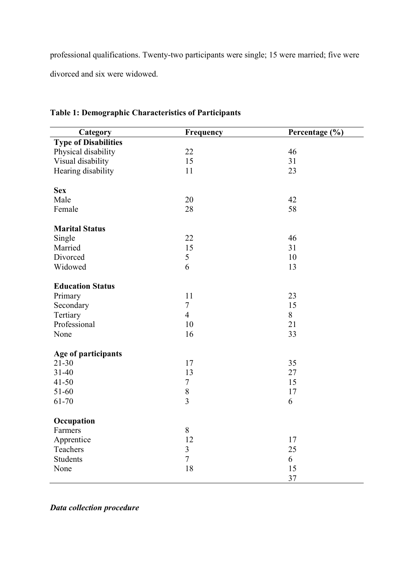professional qualifications. Twenty-two participants were single; 15 were married; five were divorced and six were widowed.

| <b>Type of Disabilities</b><br>Physical disability<br>22<br>46<br>15<br>31<br>Visual disability<br>Hearing disability<br>11<br>23<br><b>Sex</b> | Category | Frequency | Percentage (%) |
|-------------------------------------------------------------------------------------------------------------------------------------------------|----------|-----------|----------------|
|                                                                                                                                                 |          |           |                |
|                                                                                                                                                 |          |           |                |
|                                                                                                                                                 |          |           |                |
|                                                                                                                                                 |          |           |                |
|                                                                                                                                                 |          |           |                |
|                                                                                                                                                 |          |           |                |
|                                                                                                                                                 | Male     | 20        | 42             |
| 28<br>58<br>Female                                                                                                                              |          |           |                |
|                                                                                                                                                 |          |           |                |
| <b>Marital Status</b>                                                                                                                           |          |           |                |
| 22<br>46<br>Single                                                                                                                              |          |           |                |
| 15<br>31<br>Married                                                                                                                             |          |           |                |
| Divorced<br>5<br>10                                                                                                                             |          |           |                |
| Widowed<br>6<br>13                                                                                                                              |          |           |                |
| <b>Education Status</b>                                                                                                                         |          |           |                |
| 11<br>23<br>Primary                                                                                                                             |          |           |                |
| $\overline{7}$<br>15<br>Secondary                                                                                                               |          |           |                |
| Tertiary<br>$\overline{4}$<br>8                                                                                                                 |          |           |                |
| Professional<br>21<br>10                                                                                                                        |          |           |                |
| 33<br>16<br>None                                                                                                                                |          |           |                |
|                                                                                                                                                 |          |           |                |
| Age of participants                                                                                                                             |          |           |                |
| $21 - 30$<br>17<br>35                                                                                                                           |          |           |                |
| $31 - 40$<br>13<br>27                                                                                                                           |          |           |                |
| $\overline{7}$<br>$41 - 50$<br>15                                                                                                               |          |           |                |
| 51-60<br>$\,$ $\,$<br>17                                                                                                                        |          |           |                |
| $\overline{3}$<br>61-70<br>6                                                                                                                    |          |           |                |
| Occupation                                                                                                                                      |          |           |                |
| $8\,$<br>Farmers                                                                                                                                |          |           |                |
| 12<br>Apprentice<br>17                                                                                                                          |          |           |                |
| $\overline{3}$<br>25<br>Teachers                                                                                                                |          |           |                |
| $\tau$<br>Students<br>6                                                                                                                         |          |           |                |
| 18<br>15<br>None                                                                                                                                |          |           |                |
| 37                                                                                                                                              |          |           |                |

# Table 1: Demographic Characteristics of Participants

Data collection procedure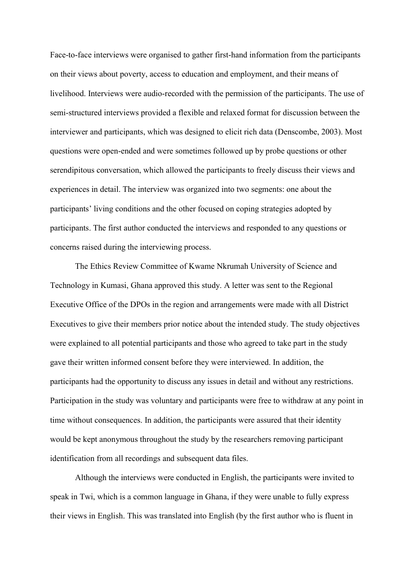Face-to-face interviews were organised to gather first-hand information from the participants on their views about poverty, access to education and employment, and their means of livelihood. Interviews were audio-recorded with the permission of the participants. The use of semi-structured interviews provided a flexible and relaxed format for discussion between the interviewer and participants, which was designed to elicit rich data (Denscombe, 2003). Most questions were open-ended and were sometimes followed up by probe questions or other serendipitous conversation, which allowed the participants to freely discuss their views and experiences in detail. The interview was organized into two segments: one about the participants' living conditions and the other focused on coping strategies adopted by participants. The first author conducted the interviews and responded to any questions or concerns raised during the interviewing process.

The Ethics Review Committee of Kwame Nkrumah University of Science and Technology in Kumasi, Ghana approved this study. A letter was sent to the Regional Executive Office of the DPOs in the region and arrangements were made with all District Executives to give their members prior notice about the intended study. The study objectives were explained to all potential participants and those who agreed to take part in the study gave their written informed consent before they were interviewed. In addition, the participants had the opportunity to discuss any issues in detail and without any restrictions. Participation in the study was voluntary and participants were free to withdraw at any point in time without consequences. In addition, the participants were assured that their identity would be kept anonymous throughout the study by the researchers removing participant identification from all recordings and subsequent data files.

Although the interviews were conducted in English, the participants were invited to speak in Twi, which is a common language in Ghana, if they were unable to fully express their views in English. This was translated into English (by the first author who is fluent in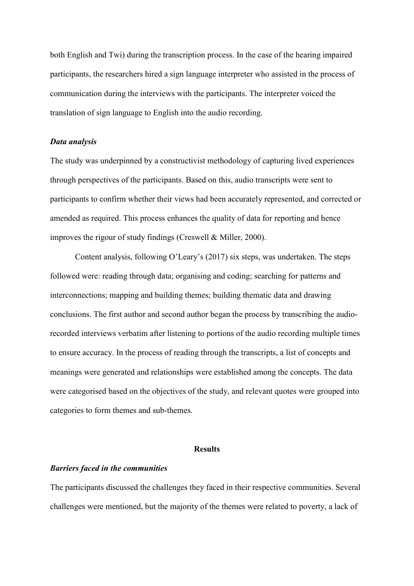both English and Twi) during the transcription process. In the case of the hearing impaired participants, the researchers hired a sign language interpreter who assisted in the process of communication during the interviews with the participants. The interpreter voiced the translation of sign language to English into the audio recording.

## Data analysis

The study was underpinned by a constructivist methodology of capturing lived experiences through perspectives of the participants. Based on this, audio transcripts were sent to participants to confirm whether their views had been accurately represented, and corrected or amended as required. This process enhances the quality of data for reporting and hence improves the rigour of study findings (Creswell & Miller, 2000).

Content analysis, following O'Leary's (2017) six steps, was undertaken. The steps followed were: reading through data; organising and coding; searching for patterns and interconnections; mapping and building themes; building thematic data and drawing conclusions. The first author and second author began the process by transcribing the audiorecorded interviews verbatim after listening to portions of the audio recording multiple times to ensure accuracy. In the process of reading through the transcripts, a list of concepts and meanings were generated and relationships were established among the concepts. The data were categorised based on the objectives of the study, and relevant quotes were grouped into categories to form themes and sub-themes.

### **Results**

## Barriers faced in the communities

The participants discussed the challenges they faced in their respective communities. Several challenges were mentioned, but the majority of the themes were related to poverty, a lack of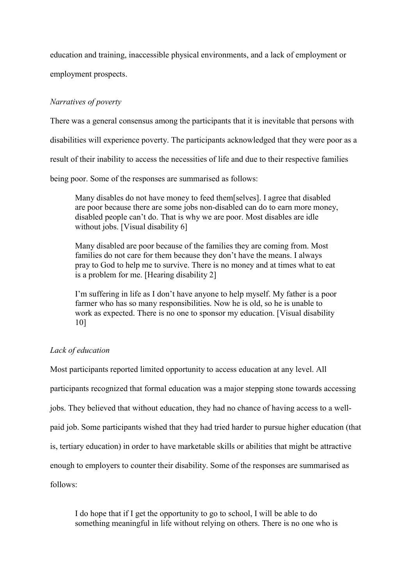education and training, inaccessible physical environments, and a lack of employment or employment prospects.

# Narratives of poverty

There was a general consensus among the participants that it is inevitable that persons with

disabilities will experience poverty. The participants acknowledged that they were poor as a

result of their inability to access the necessities of life and due to their respective families

being poor. Some of the responses are summarised as follows:

Many disables do not have money to feed them[selves]. I agree that disabled are poor because there are some jobs non-disabled can do to earn more money, disabled people can't do. That is why we are poor. Most disables are idle without jobs. [Visual disability 6]

Many disabled are poor because of the families they are coming from. Most families do not care for them because they don't have the means. I always pray to God to help me to survive. There is no money and at times what to eat is a problem for me. [Hearing disability 2]

I'm suffering in life as I don't have anyone to help myself. My father is a poor farmer who has so many responsibilities. Now he is old, so he is unable to work as expected. There is no one to sponsor my education. [Visual disability 10]

# Lack of education

Most participants reported limited opportunity to access education at any level. All participants recognized that formal education was a major stepping stone towards accessing jobs. They believed that without education, they had no chance of having access to a wellpaid job. Some participants wished that they had tried harder to pursue higher education (that is, tertiary education) in order to have marketable skills or abilities that might be attractive enough to employers to counter their disability. Some of the responses are summarised as follows:

I do hope that if I get the opportunity to go to school, I will be able to do something meaningful in life without relying on others. There is no one who is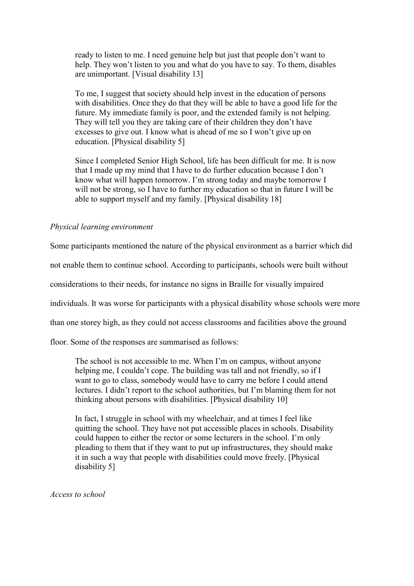ready to listen to me. I need genuine help but just that people don't want to help. They won't listen to you and what do you have to say. To them, disables are unimportant. [Visual disability 13]

To me, I suggest that society should help invest in the education of persons with disabilities. Once they do that they will be able to have a good life for the future. My immediate family is poor, and the extended family is not helping. They will tell you they are taking care of their children they don't have excesses to give out. I know what is ahead of me so I won't give up on education. [Physical disability 5]

Since I completed Senior High School, life has been difficult for me. It is now that I made up my mind that I have to do further education because I don't know what will happen tomorrow. I'm strong today and maybe tomorrow I will not be strong, so I have to further my education so that in future I will be able to support myself and my family. [Physical disability 18]

## Physical learning environment

Some participants mentioned the nature of the physical environment as a barrier which did

not enable them to continue school. According to participants, schools were built without

considerations to their needs, for instance no signs in Braille for visually impaired

individuals. It was worse for participants with a physical disability whose schools were more

than one storey high, as they could not access classrooms and facilities above the ground

floor. Some of the responses are summarised as follows:

The school is not accessible to me. When I'm on campus, without anyone helping me, I couldn't cope. The building was tall and not friendly, so if I want to go to class, somebody would have to carry me before I could attend lectures. I didn't report to the school authorities, but I'm blaming them for not thinking about persons with disabilities. [Physical disability 10]

In fact, I struggle in school with my wheelchair, and at times I feel like quitting the school. They have not put accessible places in schools. Disability could happen to either the rector or some lecturers in the school. I'm only pleading to them that if they want to put up infrastructures, they should make it in such a way that people with disabilities could move freely. [Physical disability 5]

Access to school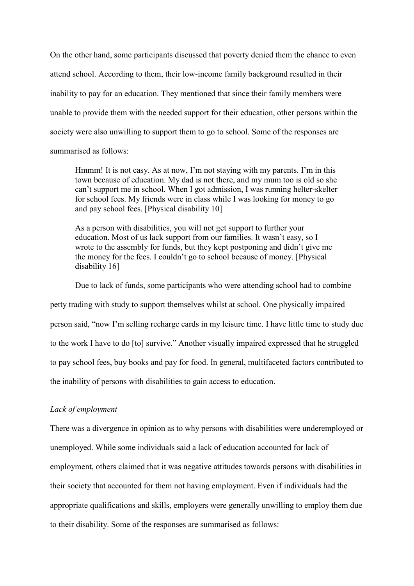On the other hand, some participants discussed that poverty denied them the chance to even attend school. According to them, their low-income family background resulted in their inability to pay for an education. They mentioned that since their family members were unable to provide them with the needed support for their education, other persons within the society were also unwilling to support them to go to school. Some of the responses are summarised as follows:

Hmmm! It is not easy. As at now, I'm not staying with my parents. I'm in this town because of education. My dad is not there, and my mum too is old so she can't support me in school. When I got admission, I was running helter-skelter for school fees. My friends were in class while I was looking for money to go and pay school fees. [Physical disability 10]

As a person with disabilities, you will not get support to further your education. Most of us lack support from our families. It wasn't easy, so I wrote to the assembly for funds, but they kept postponing and didn't give me the money for the fees. I couldn't go to school because of money. [Physical disability 16]

Due to lack of funds, some participants who were attending school had to combine

petty trading with study to support themselves whilst at school. One physically impaired person said, "now I'm selling recharge cards in my leisure time. I have little time to study due to the work I have to do [to] survive." Another visually impaired expressed that he struggled to pay school fees, buy books and pay for food. In general, multifaceted factors contributed to the inability of persons with disabilities to gain access to education.

## Lack of employment

There was a divergence in opinion as to why persons with disabilities were underemployed or unemployed. While some individuals said a lack of education accounted for lack of employment, others claimed that it was negative attitudes towards persons with disabilities in their society that accounted for them not having employment. Even if individuals had the appropriate qualifications and skills, employers were generally unwilling to employ them due to their disability. Some of the responses are summarised as follows: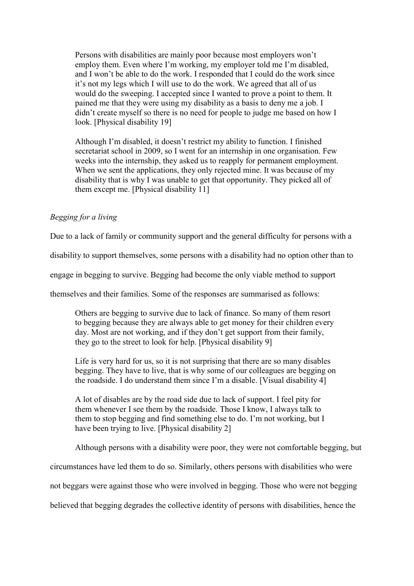Persons with disabilities are mainly poor because most employers won't employ them. Even where I'm working, my employer told me I'm disabled, and I won't be able to do the work. I responded that I could do the work since it's not my legs which I will use to do the work. We agreed that all of us would do the sweeping. I accepted since I wanted to prove a point to them. It pained me that they were using my disability as a basis to deny me a job. I didn't create myself so there is no need for people to judge me based on how I look. [Physical disability 19]

Although I'm disabled, it doesn't restrict my ability to function. I finished secretariat school in 2009, so I went for an internship in one organisation. Few weeks into the internship, they asked us to reapply for permanent employment. When we sent the applications, they only rejected mine. It was because of my disability that is why I was unable to get that opportunity. They picked all of them except me. [Physical disability 11]

# Begging for a living

Due to a lack of family or community support and the general difficulty for persons with a

disability to support themselves, some persons with a disability had no option other than to

engage in begging to survive. Begging had become the only viable method to support

themselves and their families. Some of the responses are summarised as follows:

Others are begging to survive due to lack of finance. So many of them resort to begging because they are always able to get money for their children every day. Most are not working, and if they don't get support from their family, they go to the street to look for help. [Physical disability 9]

Life is very hard for us, so it is not surprising that there are so many disables begging. They have to live, that is why some of our colleagues are begging on the roadside. I do understand them since I'm a disable. [Visual disability 4]

A lot of disables are by the road side due to lack of support. I feel pity for them whenever I see them by the roadside. Those I know, I always talk to them to stop begging and find something else to do. I'm not working, but I have been trying to live. [Physical disability 2]

Although persons with a disability were poor, they were not comfortable begging, but

circumstances have led them to do so. Similarly, others persons with disabilities who were

not beggars were against those who were involved in begging. Those who were not begging

believed that begging degrades the collective identity of persons with disabilities, hence the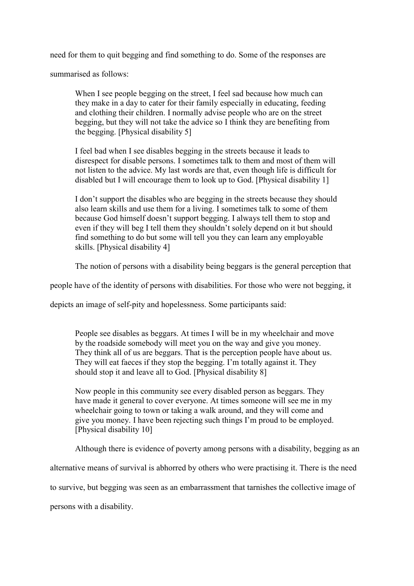need for them to quit begging and find something to do. Some of the responses are

summarised as follows:

When I see people begging on the street, I feel sad because how much can they make in a day to cater for their family especially in educating, feeding and clothing their children. I normally advise people who are on the street begging, but they will not take the advice so I think they are benefiting from the begging. [Physical disability 5]

I feel bad when I see disables begging in the streets because it leads to disrespect for disable persons. I sometimes talk to them and most of them will not listen to the advice. My last words are that, even though life is difficult for disabled but I will encourage them to look up to God. [Physical disability 1]

I don't support the disables who are begging in the streets because they should also learn skills and use them for a living. I sometimes talk to some of them because God himself doesn't support begging. I always tell them to stop and even if they will beg I tell them they shouldn't solely depend on it but should find something to do but some will tell you they can learn any employable skills. [Physical disability 4]

The notion of persons with a disability being beggars is the general perception that

people have of the identity of persons with disabilities. For those who were not begging, it

depicts an image of self-pity and hopelessness. Some participants said:

People see disables as beggars. At times I will be in my wheelchair and move by the roadside somebody will meet you on the way and give you money. They think all of us are beggars. That is the perception people have about us. They will eat faeces if they stop the begging. I'm totally against it. They should stop it and leave all to God. [Physical disability 8]

Now people in this community see every disabled person as beggars. They have made it general to cover everyone. At times someone will see me in my wheelchair going to town or taking a walk around, and they will come and give you money. I have been rejecting such things I'm proud to be employed. [Physical disability 10]

Although there is evidence of poverty among persons with a disability, begging as an

alternative means of survival is abhorred by others who were practising it. There is the need

to survive, but begging was seen as an embarrassment that tarnishes the collective image of

persons with a disability.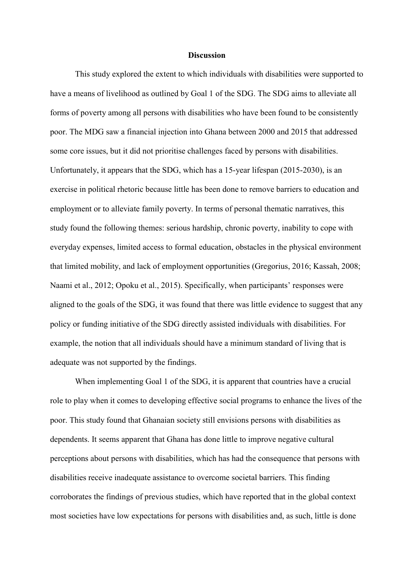### **Discussion**

This study explored the extent to which individuals with disabilities were supported to have a means of livelihood as outlined by Goal 1 of the SDG. The SDG aims to alleviate all forms of poverty among all persons with disabilities who have been found to be consistently poor. The MDG saw a financial injection into Ghana between 2000 and 2015 that addressed some core issues, but it did not prioritise challenges faced by persons with disabilities. Unfortunately, it appears that the SDG, which has a 15-year lifespan (2015-2030), is an exercise in political rhetoric because little has been done to remove barriers to education and employment or to alleviate family poverty. In terms of personal thematic narratives, this study found the following themes: serious hardship, chronic poverty, inability to cope with everyday expenses, limited access to formal education, obstacles in the physical environment that limited mobility, and lack of employment opportunities (Gregorius, 2016; Kassah, 2008; Naami et al., 2012; Opoku et al., 2015). Specifically, when participants' responses were aligned to the goals of the SDG, it was found that there was little evidence to suggest that any policy or funding initiative of the SDG directly assisted individuals with disabilities. For example, the notion that all individuals should have a minimum standard of living that is adequate was not supported by the findings.

When implementing Goal 1 of the SDG, it is apparent that countries have a crucial role to play when it comes to developing effective social programs to enhance the lives of the poor. This study found that Ghanaian society still envisions persons with disabilities as dependents. It seems apparent that Ghana has done little to improve negative cultural perceptions about persons with disabilities, which has had the consequence that persons with disabilities receive inadequate assistance to overcome societal barriers. This finding corroborates the findings of previous studies, which have reported that in the global context most societies have low expectations for persons with disabilities and, as such, little is done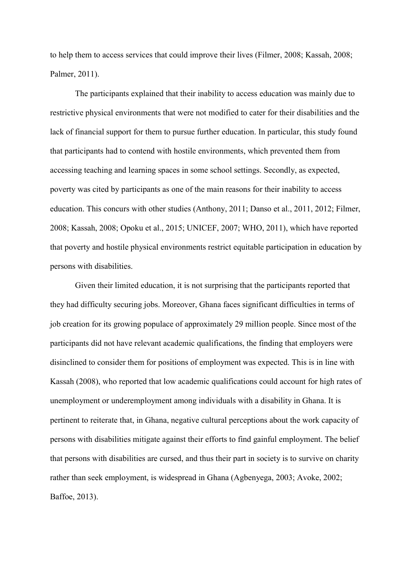to help them to access services that could improve their lives (Filmer, 2008; Kassah, 2008; Palmer, 2011).

The participants explained that their inability to access education was mainly due to restrictive physical environments that were not modified to cater for their disabilities and the lack of financial support for them to pursue further education. In particular, this study found that participants had to contend with hostile environments, which prevented them from accessing teaching and learning spaces in some school settings. Secondly, as expected, poverty was cited by participants as one of the main reasons for their inability to access education. This concurs with other studies (Anthony, 2011; Danso et al., 2011, 2012; Filmer, 2008; Kassah, 2008; Opoku et al., 2015; UNICEF, 2007; WHO, 2011), which have reported that poverty and hostile physical environments restrict equitable participation in education by persons with disabilities.

Given their limited education, it is not surprising that the participants reported that they had difficulty securing jobs. Moreover, Ghana faces significant difficulties in terms of job creation for its growing populace of approximately 29 million people. Since most of the participants did not have relevant academic qualifications, the finding that employers were disinclined to consider them for positions of employment was expected. This is in line with Kassah (2008), who reported that low academic qualifications could account for high rates of unemployment or underemployment among individuals with a disability in Ghana. It is pertinent to reiterate that, in Ghana, negative cultural perceptions about the work capacity of persons with disabilities mitigate against their efforts to find gainful employment. The belief that persons with disabilities are cursed, and thus their part in society is to survive on charity rather than seek employment, is widespread in Ghana (Agbenyega, 2003; Avoke, 2002; Baffoe, 2013).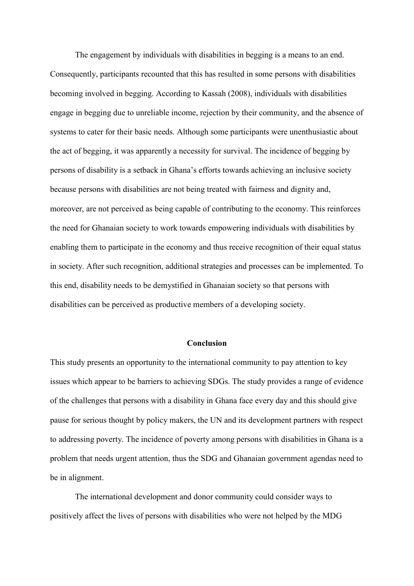The engagement by individuals with disabilities in begging is a means to an end. Consequently, participants recounted that this has resulted in some persons with disabilities becoming involved in begging. According to Kassah (2008), individuals with disabilities engage in begging due to unreliable income, rejection by their community, and the absence of systems to cater for their basic needs. Although some participants were unenthusiastic about the act of begging, it was apparently a necessity for survival. The incidence of begging by persons of disability is a setback in Ghana's efforts towards achieving an inclusive society because persons with disabilities are not being treated with fairness and dignity and, moreover, are not perceived as being capable of contributing to the economy. This reinforces the need for Ghanaian society to work towards empowering individuals with disabilities by enabling them to participate in the economy and thus receive recognition of their equal status in society. After such recognition, additional strategies and processes can be implemented. To this end, disability needs to be demystified in Ghanaian society so that persons with disabilities can be perceived as productive members of a developing society.

## Conclusion

This study presents an opportunity to the international community to pay attention to key issues which appear to be barriers to achieving SDGs. The study provides a range of evidence of the challenges that persons with a disability in Ghana face every day and this should give pause for serious thought by policy makers, the UN and its development partners with respect to addressing poverty. The incidence of poverty among persons with disabilities in Ghana is a problem that needs urgent attention, thus the SDG and Ghanaian government agendas need to be in alignment.

The international development and donor community could consider ways to positively affect the lives of persons with disabilities who were not helped by the MDG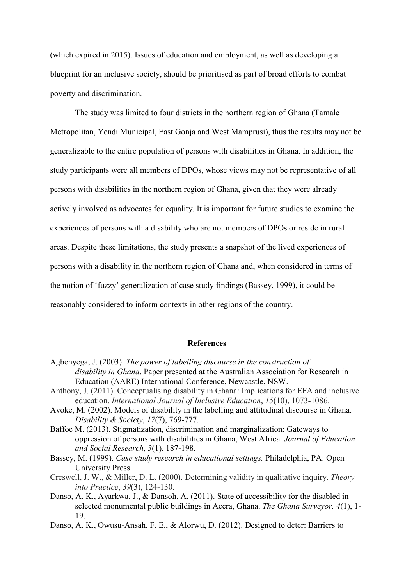(which expired in 2015). Issues of education and employment, as well as developing a blueprint for an inclusive society, should be prioritised as part of broad efforts to combat poverty and discrimination.

The study was limited to four districts in the northern region of Ghana (Tamale Metropolitan, Yendi Municipal, East Gonja and West Mamprusi), thus the results may not be generalizable to the entire population of persons with disabilities in Ghana. In addition, the study participants were all members of DPOs, whose views may not be representative of all persons with disabilities in the northern region of Ghana, given that they were already actively involved as advocates for equality. It is important for future studies to examine the experiences of persons with a disability who are not members of DPOs or reside in rural areas. Despite these limitations, the study presents a snapshot of the lived experiences of persons with a disability in the northern region of Ghana and, when considered in terms of the notion of 'fuzzy' generalization of case study findings (Bassey, 1999), it could be reasonably considered to inform contexts in other regions of the country.

## References

- Agbenyega, J. (2003). The power of labelling discourse in the construction of disability in Ghana. Paper presented at the Australian Association for Research in Education (AARE) International Conference, Newcastle, NSW.
- Anthony, J. (2011). Conceptualising disability in Ghana: Implications for EFA and inclusive education. International Journal of Inclusive Education, 15(10), 1073-1086.
- Avoke, M. (2002). Models of disability in the labelling and attitudinal discourse in Ghana. Disability & Society, 17(7), 769-777.
- Baffoe M. (2013). Stigmatization, discrimination and marginalization: Gateways to oppression of persons with disabilities in Ghana, West Africa. Journal of Education and Social Research, 3(1), 187-198.
- Bassey, M. (1999). Case study research in educational settings. Philadelphia, PA: Open University Press.
- Creswell, J. W., & Miller, D. L. (2000). Determining validity in qualitative inquiry. Theory into Practice, 39(3), 124-130.
- Danso, A. K., Ayarkwa, J., & Dansoh, A. (2011). State of accessibility for the disabled in selected monumental public buildings in Accra, Ghana. The Ghana Surveyor, 4(1), 1-19.
- Danso, A. K., Owusu-Ansah, F. E., & Alorwu, D. (2012). Designed to deter: Barriers to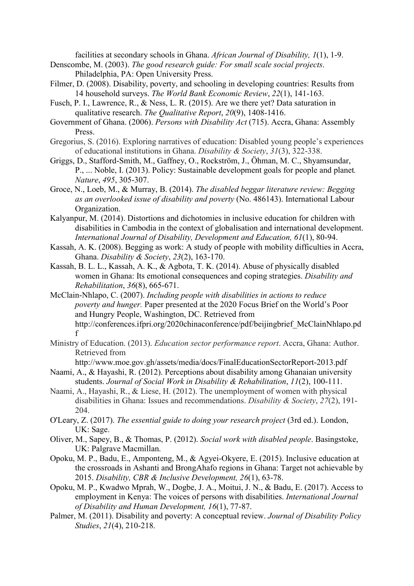facilities at secondary schools in Ghana. African Journal of Disability, 1(1), 1-9.

- Denscombe, M. (2003). The good research guide: For small scale social projects. Philadelphia, PA: Open University Press.
- Filmer, D. (2008). Disability, poverty, and schooling in developing countries: Results from 14 household surveys. The World Bank Economic Review, 22(1), 141-163.
- Fusch, P. I., Lawrence, R., & Ness, L. R. (2015). Are we there yet? Data saturation in qualitative research. The Qualitative Report, 20(9), 1408-1416.
- Government of Ghana. (2006). Persons with Disability Act (715). Accra, Ghana: Assembly Press.
- Gregorius, S. (2016). Exploring narratives of education: Disabled young people's experiences of educational institutions in Ghana. Disability & Society, 31(3), 322-338.
- Griggs, D., Stafford-Smith, M., Gaffney, O., Rockström, J., Öhman, M. C., Shyamsundar, P., ... Noble, I. (2013). Policy: Sustainable development goals for people and planet. Nature, 495, 305-307.
- Groce, N., Loeb, M., & Murray, B. (2014). The disabled beggar literature review: Begging as an overlooked issue of disability and poverty (No. 486143). International Labour Organization.
- Kalyanpur, M. (2014). Distortions and dichotomies in inclusive education for children with disabilities in Cambodia in the context of globalisation and international development. International Journal of Disability, Development and Education, 61(1), 80-94.
- Kassah, A. K. (2008). Begging as work: A study of people with mobility difficulties in Accra, Ghana. Disability & Society, 23(2), 163-170.
- Kassah, B. L. L., Kassah, A. K., & Agbota, T. K. (2014). Abuse of physically disabled women in Ghana: Its emotional consequences and coping strategies. Disability and Rehabilitation, 36(8), 665-671.
- McClain-Nhlapo, C. (2007). Including people with disabilities in actions to reduce poverty and hunger. Paper presented at the 2020 Focus Brief on the World's Poor and Hungry People, Washington, DC. Retrieved from http://conferences.ifpri.org/2020chinaconference/pdf/beijingbrief\_McClainNhlapo.pd f
- Ministry of Education. (2013). Education sector performance report. Accra, Ghana: Author. Retrieved from

http://www.moe.gov.gh/assets/media/docs/FinalEducationSectorReport-2013.pdf

- Naami, A., & Hayashi, R. (2012). Perceptions about disability among Ghanaian university students. Journal of Social Work in Disability & Rehabilitation, 11(2), 100-111.
- Naami, A., Hayashi, R., & Liese, H. (2012). The unemployment of women with physical disabilities in Ghana: Issues and recommendations. Disability & Society, 27(2), 191- 204.
- O'Leary, Z. (2017). The essential guide to doing your research project (3rd ed.). London, UK: Sage.
- Oliver, M., Sapey, B., & Thomas, P. (2012). Social work with disabled people. Basingstoke, UK: Palgrave Macmillan.
- Opoku, M. P., Badu, E., Amponteng, M., & Agyei-Okyere, E. (2015). Inclusive education at the crossroads in Ashanti and BrongAhafo regions in Ghana: Target not achievable by 2015. Disability, CBR & Inclusive Development, 26(1), 63-78.
- Opoku, M. P., Kwadwo Mprah, W., Dogbe, J. A., Moitui, J. N., & Badu, E. (2017). Access to employment in Kenya: The voices of persons with disabilities. International Journal of Disability and Human Development, 16(1), 77-87.
- Palmer, M. (2011). Disability and poverty: A conceptual review. Journal of Disability Policy Studies, 21(4), 210-218.